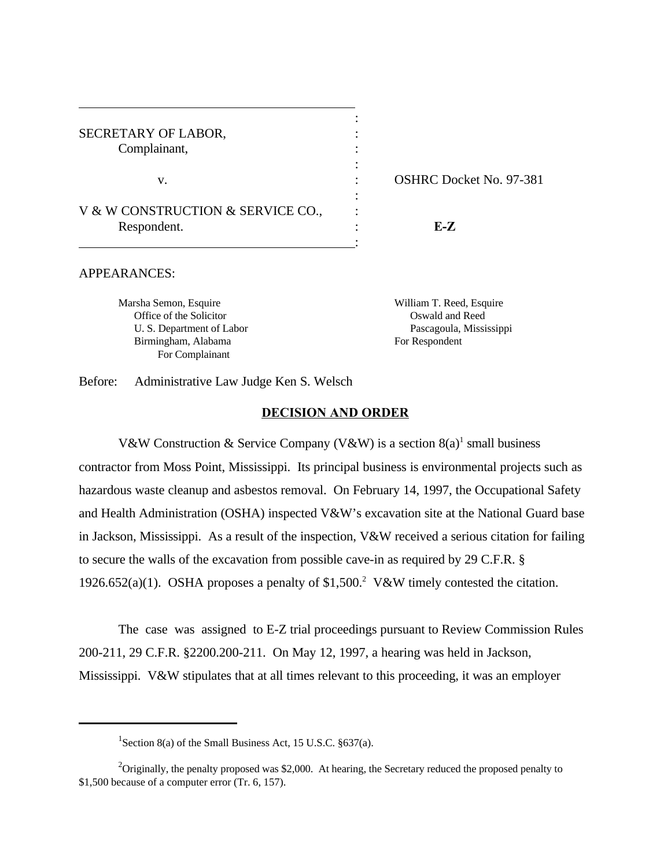SECRETARY OF LABOR,  $\cdot$ Complainant, the complainant of the complaint of the complaint of the contract of the contract of the contract of the contract of the contract of the contract of the contract of the contract of the contract of the contract v. SHRC Docket No. 97-381 V & W CONSTRUCTION & SERVICE CO.

Respondent. : **E-Z**

#### APPEARANCES:

 Office of the Solicitor Oswald and Reed Birmingham, Alabama For Respondent For Complainant

Marsha Semon, Esquire William T. Reed, Esquire U. S. Department of Labor Pascagoula, Mississippi

Before: Administrative Law Judge Ken S. Welsch

#### **DECISION AND ORDER**

:

:

:

:

V&W Construction & Service Company (V&W) is a section  $8(a)^1$  small business contractor from Moss Point, Mississippi. Its principal business is environmental projects such as hazardous waste cleanup and asbestos removal. On February 14, 1997, the Occupational Safety and Health Administration (OSHA) inspected V&W's excavation site at the National Guard base in Jackson, Mississippi. As a result of the inspection, V&W received a serious citation for failing to secure the walls of the excavation from possible cave-in as required by 29 C.F.R. § 1926.652(a)(1). OSHA proposes a penalty of \$1,500.<sup>2</sup> V&W timely contested the citation.

The case was assigned to E-Z trial proceedings pursuant to Review Commission Rules 200-211, 29 C.F.R. §2200.200-211. On May 12, 1997, a hearing was held in Jackson, Mississippi. V&W stipulates that at all times relevant to this proceeding, it was an employer

<sup>&</sup>lt;sup>1</sup> Section 8(a) of the Small Business Act, 15 U.S.C.  $§$ 637(a).

<sup>&</sup>lt;sup>2</sup>Originally, the penalty proposed was \$2,000. At hearing, the Secretary reduced the proposed penalty to \$1,500 because of a computer error (Tr. 6, 157).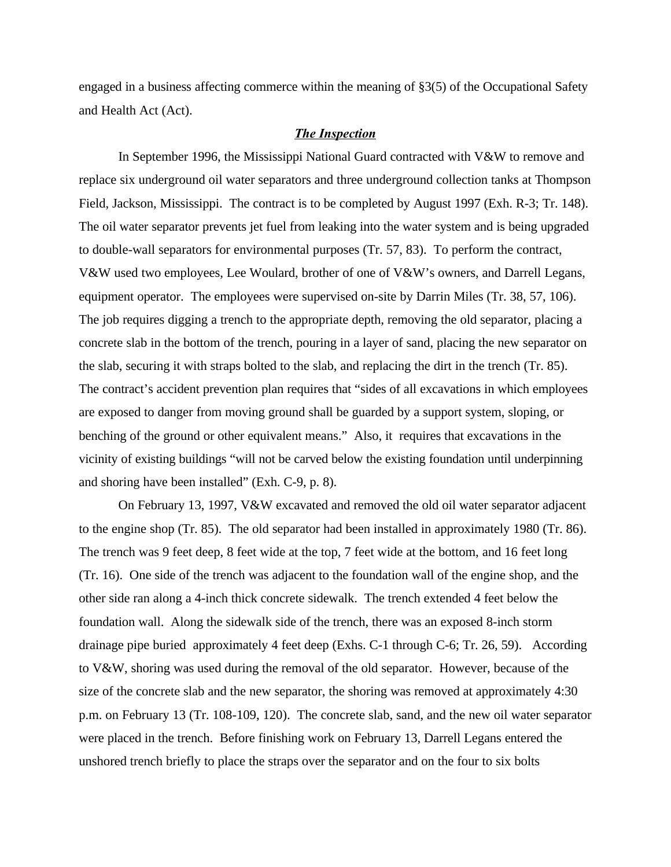engaged in a business affecting commerce within the meaning of §3(5) of the Occupational Safety and Health Act (Act).

## *The Inspection*

In September 1996, the Mississippi National Guard contracted with V&W to remove and replace six underground oil water separators and three underground collection tanks at Thompson Field, Jackson, Mississippi. The contract is to be completed by August 1997 (Exh. R-3; Tr. 148). The oil water separator prevents jet fuel from leaking into the water system and is being upgraded to double-wall separators for environmental purposes (Tr. 57, 83). To perform the contract, V&W used two employees, Lee Woulard, brother of one of V&W's owners, and Darrell Legans, equipment operator. The employees were supervised on-site by Darrin Miles (Tr. 38, 57, 106). The job requires digging a trench to the appropriate depth, removing the old separator, placing a concrete slab in the bottom of the trench, pouring in a layer of sand, placing the new separator on the slab, securing it with straps bolted to the slab, and replacing the dirt in the trench (Tr. 85). The contract's accident prevention plan requires that "sides of all excavations in which employees are exposed to danger from moving ground shall be guarded by a support system, sloping, or benching of the ground or other equivalent means." Also, it requires that excavations in the vicinity of existing buildings "will not be carved below the existing foundation until underpinning and shoring have been installed" (Exh. C-9, p. 8).

On February 13, 1997, V&W excavated and removed the old oil water separator adjacent to the engine shop (Tr. 85). The old separator had been installed in approximately 1980 (Tr. 86). The trench was 9 feet deep, 8 feet wide at the top, 7 feet wide at the bottom, and 16 feet long (Tr. 16). One side of the trench was adjacent to the foundation wall of the engine shop, and the other side ran along a 4-inch thick concrete sidewalk. The trench extended 4 feet below the foundation wall. Along the sidewalk side of the trench, there was an exposed 8-inch storm drainage pipe buried approximately 4 feet deep (Exhs. C-1 through C-6; Tr. 26, 59). According to V&W, shoring was used during the removal of the old separator. However, because of the size of the concrete slab and the new separator, the shoring was removed at approximately 4:30 p.m. on February 13 (Tr. 108-109, 120). The concrete slab, sand, and the new oil water separator were placed in the trench. Before finishing work on February 13, Darrell Legans entered the unshored trench briefly to place the straps over the separator and on the four to six bolts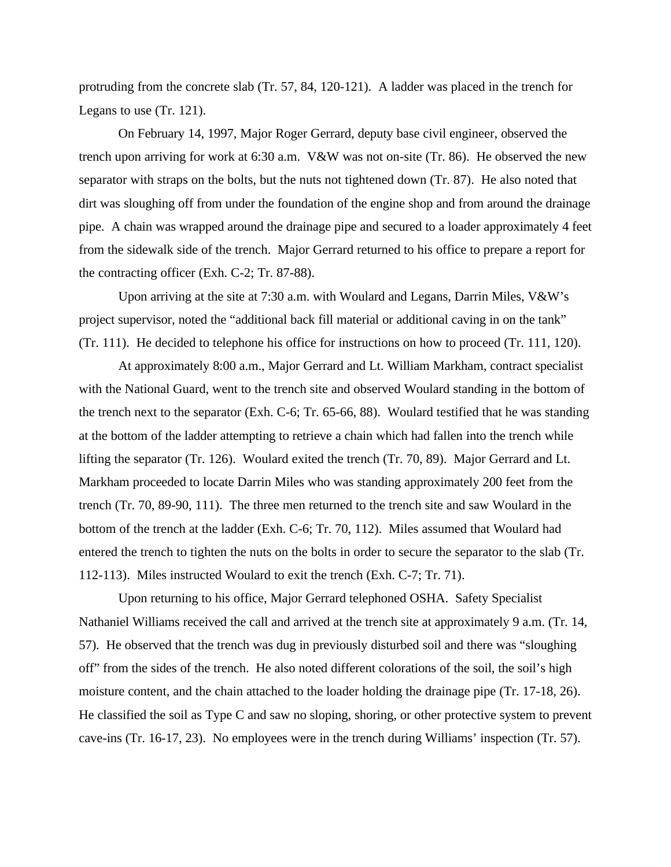protruding from the concrete slab (Tr. 57, 84, 120-121). A ladder was placed in the trench for Legans to use (Tr. 121).

On February 14, 1997, Major Roger Gerrard, deputy base civil engineer, observed the trench upon arriving for work at 6:30 a.m. V&W was not on-site (Tr. 86). He observed the new separator with straps on the bolts, but the nuts not tightened down (Tr. 87). He also noted that dirt was sloughing off from under the foundation of the engine shop and from around the drainage pipe. A chain was wrapped around the drainage pipe and secured to a loader approximately 4 feet from the sidewalk side of the trench. Major Gerrard returned to his office to prepare a report for the contracting officer (Exh. C-2; Tr. 87-88).

Upon arriving at the site at 7:30 a.m. with Woulard and Legans, Darrin Miles, V&W's project supervisor, noted the "additional back fill material or additional caving in on the tank" (Tr. 111). He decided to telephone his office for instructions on how to proceed (Tr. 111, 120).

At approximately 8:00 a.m., Major Gerrard and Lt. William Markham, contract specialist with the National Guard, went to the trench site and observed Woulard standing in the bottom of the trench next to the separator (Exh. C-6; Tr. 65-66, 88). Woulard testified that he was standing at the bottom of the ladder attempting to retrieve a chain which had fallen into the trench while lifting the separator (Tr. 126). Woulard exited the trench (Tr. 70, 89). Major Gerrard and Lt. Markham proceeded to locate Darrin Miles who was standing approximately 200 feet from the trench (Tr. 70, 89-90, 111). The three men returned to the trench site and saw Woulard in the bottom of the trench at the ladder (Exh. C-6; Tr. 70, 112). Miles assumed that Woulard had entered the trench to tighten the nuts on the bolts in order to secure the separator to the slab (Tr. 112-113). Miles instructed Woulard to exit the trench (Exh. C-7; Tr. 71).

Upon returning to his office, Major Gerrard telephoned OSHA. Safety Specialist Nathaniel Williams received the call and arrived at the trench site at approximately 9 a.m. (Tr. 14, 57). He observed that the trench was dug in previously disturbed soil and there was "sloughing off" from the sides of the trench. He also noted different colorations of the soil, the soil's high moisture content, and the chain attached to the loader holding the drainage pipe (Tr. 17-18, 26). He classified the soil as Type C and saw no sloping, shoring, or other protective system to prevent cave-ins (Tr. 16-17, 23). No employees were in the trench during Williams' inspection (Tr. 57).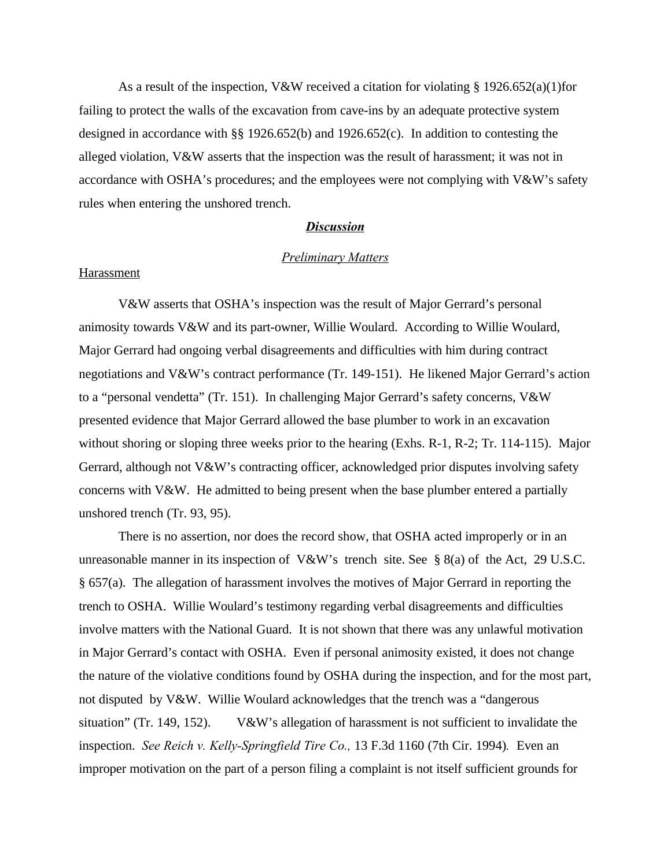As a result of the inspection, V&W received a citation for violating § 1926.652(a)(1)for failing to protect the walls of the excavation from cave-ins by an adequate protective system designed in accordance with §§ 1926.652(b) and 1926.652(c). In addition to contesting the alleged violation, V&W asserts that the inspection was the result of harassment; it was not in accordance with OSHA's procedures; and the employees were not complying with V&W's safety rules when entering the unshored trench.

### *Discussion*

## *Preliminary Matters*

# **Harassment**

V&W asserts that OSHA's inspection was the result of Major Gerrard's personal animosity towards V&W and its part-owner, Willie Woulard. According to Willie Woulard, Major Gerrard had ongoing verbal disagreements and difficulties with him during contract negotiations and V&W's contract performance (Tr. 149-151). He likened Major Gerrard's action to a "personal vendetta" (Tr. 151). In challenging Major Gerrard's safety concerns, V&W presented evidence that Major Gerrard allowed the base plumber to work in an excavation without shoring or sloping three weeks prior to the hearing (Exhs. R-1, R-2; Tr. 114-115). Major Gerrard, although not V&W's contracting officer, acknowledged prior disputes involving safety concerns with V&W. He admitted to being present when the base plumber entered a partially unshored trench (Tr. 93, 95).

There is no assertion, nor does the record show, that OSHA acted improperly or in an unreasonable manner in its inspection of V&W's trench site. See § 8(a) of the Act, 29 U.S.C. § 657(a). The allegation of harassment involves the motives of Major Gerrard in reporting the trench to OSHA. Willie Woulard's testimony regarding verbal disagreements and difficulties involve matters with the National Guard. It is not shown that there was any unlawful motivation in Major Gerrard's contact with OSHA. Even if personal animosity existed, it does not change the nature of the violative conditions found by OSHA during the inspection, and for the most part, not disputed by V&W. Willie Woulard acknowledges that the trench was a "dangerous situation" (Tr. 149, 152). V&W's allegation of harassment is not sufficient to invalidate the inspection. *See Reich v. Kelly-Springfield Tire Co.,* 13 F.3d 1160 (7th Cir. 1994)*.* Even an improper motivation on the part of a person filing a complaint is not itself sufficient grounds for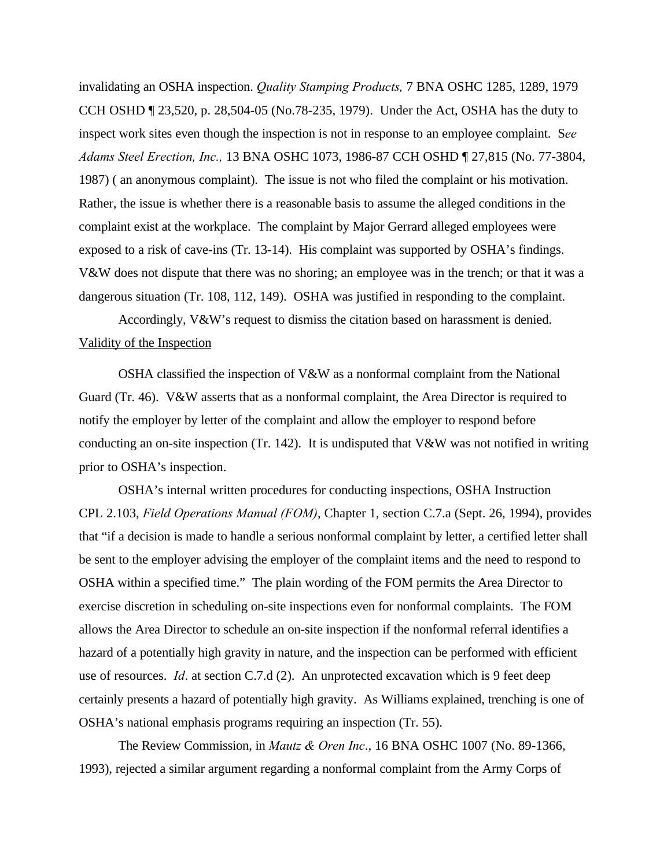invalidating an OSHA inspection. *Quality Stamping Products,* 7 BNA OSHC 1285, 1289, 1979 CCH OSHD ¶ 23,520, p. 28,504-05 (No.78-235, 1979). Under the Act, OSHA has the duty to inspect work sites even though the inspection is not in response to an employee complaint. S*ee Adams Steel Erection, Inc.,* 13 BNA OSHC 1073, 1986-87 CCH OSHD ¶ 27,815 (No. 77-3804, 1987) ( an anonymous complaint). The issue is not who filed the complaint or his motivation. Rather, the issue is whether there is a reasonable basis to assume the alleged conditions in the complaint exist at the workplace. The complaint by Major Gerrard alleged employees were exposed to a risk of cave-ins (Tr. 13-14). His complaint was supported by OSHA's findings. V&W does not dispute that there was no shoring; an employee was in the trench; or that it was a dangerous situation (Tr. 108, 112, 149). OSHA was justified in responding to the complaint.

Accordingly, V&W's request to dismiss the citation based on harassment is denied. Validity of the Inspection

OSHA classified the inspection of V&W as a nonformal complaint from the National Guard (Tr. 46). V&W asserts that as a nonformal complaint, the Area Director is required to notify the employer by letter of the complaint and allow the employer to respond before conducting an on-site inspection (Tr. 142). It is undisputed that  $V\&W$  was not notified in writing prior to OSHA's inspection.

OSHA's internal written procedures for conducting inspections, OSHA Instruction CPL 2.103, *Field Operations Manual (FOM)*, Chapter 1, section C.7.a (Sept. 26, 1994), provides that "if a decision is made to handle a serious nonformal complaint by letter, a certified letter shall be sent to the employer advising the employer of the complaint items and the need to respond to OSHA within a specified time." The plain wording of the FOM permits the Area Director to exercise discretion in scheduling on-site inspections even for nonformal complaints. The FOM allows the Area Director to schedule an on-site inspection if the nonformal referral identifies a hazard of a potentially high gravity in nature, and the inspection can be performed with efficient use of resources. *Id*. at section C.7.d (2). An unprotected excavation which is 9 feet deep certainly presents a hazard of potentially high gravity. As Williams explained, trenching is one of OSHA's national emphasis programs requiring an inspection (Tr. 55).

The Review Commission, in *Mautz & Oren Inc*., 16 BNA OSHC 1007 (No. 89-1366, 1993), rejected a similar argument regarding a nonformal complaint from the Army Corps of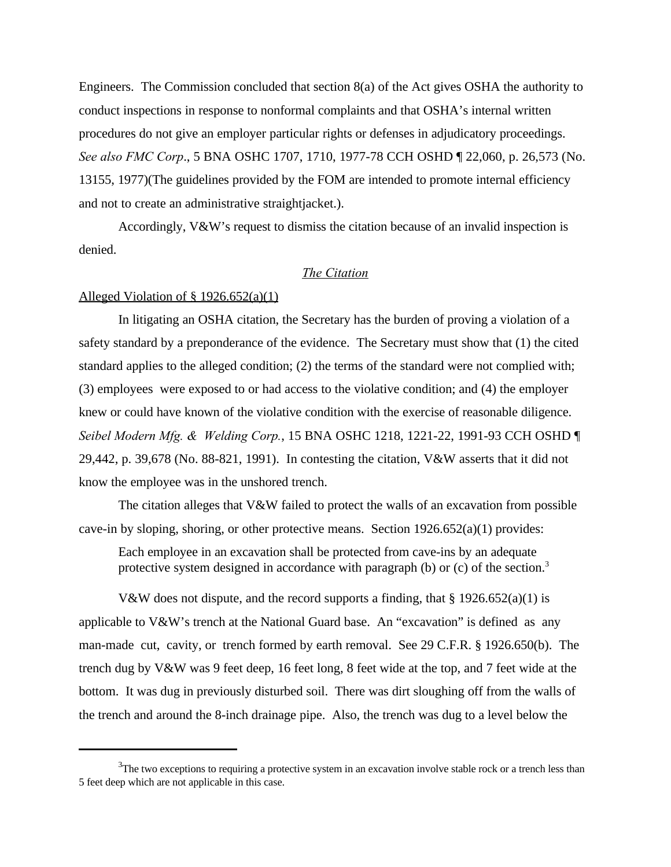Engineers. The Commission concluded that section 8(a) of the Act gives OSHA the authority to conduct inspections in response to nonformal complaints and that OSHA's internal written procedures do not give an employer particular rights or defenses in adjudicatory proceedings. *See also FMC Corp*., 5 BNA OSHC 1707, 1710, 1977-78 CCH OSHD ¶ 22,060, p. 26,573 (No. 13155, 1977)(The guidelines provided by the FOM are intended to promote internal efficiency and not to create an administrative straightjacket.).

Accordingly, V&W's request to dismiss the citation because of an invalid inspection is denied.

# *The Citation*

#### Alleged Violation of § 1926.652(a)(1)

In litigating an OSHA citation, the Secretary has the burden of proving a violation of a safety standard by a preponderance of the evidence. The Secretary must show that (1) the cited standard applies to the alleged condition; (2) the terms of the standard were not complied with; (3) employees were exposed to or had access to the violative condition; and (4) the employer knew or could have known of the violative condition with the exercise of reasonable diligence. *Seibel Modern Mfg. & Welding Corp.*, 15 BNA OSHC 1218, 1221-22, 1991-93 CCH OSHD ¶ 29,442, p. 39,678 (No. 88-821, 1991). In contesting the citation, V&W asserts that it did not know the employee was in the unshored trench.

The citation alleges that V&W failed to protect the walls of an excavation from possible cave-in by sloping, shoring, or other protective means. Section  $1926.652(a)(1)$  provides:

Each employee in an excavation shall be protected from cave-ins by an adequate protective system designed in accordance with paragraph (b) or (c) of the section.<sup>3</sup>

V&W does not dispute, and the record supports a finding, that  $\S 1926.652(a)(1)$  is applicable to V&W's trench at the National Guard base. An "excavation" is defined as any man-made cut, cavity, or trench formed by earth removal. See 29 C.F.R. § 1926.650(b). The trench dug by V&W was 9 feet deep, 16 feet long, 8 feet wide at the top, and 7 feet wide at the bottom. It was dug in previously disturbed soil. There was dirt sloughing off from the walls of the trench and around the 8-inch drainage pipe. Also, the trench was dug to a level below the

 $3$ The two exceptions to requiring a protective system in an excavation involve stable rock or a trench less than 5 feet deep which are not applicable in this case.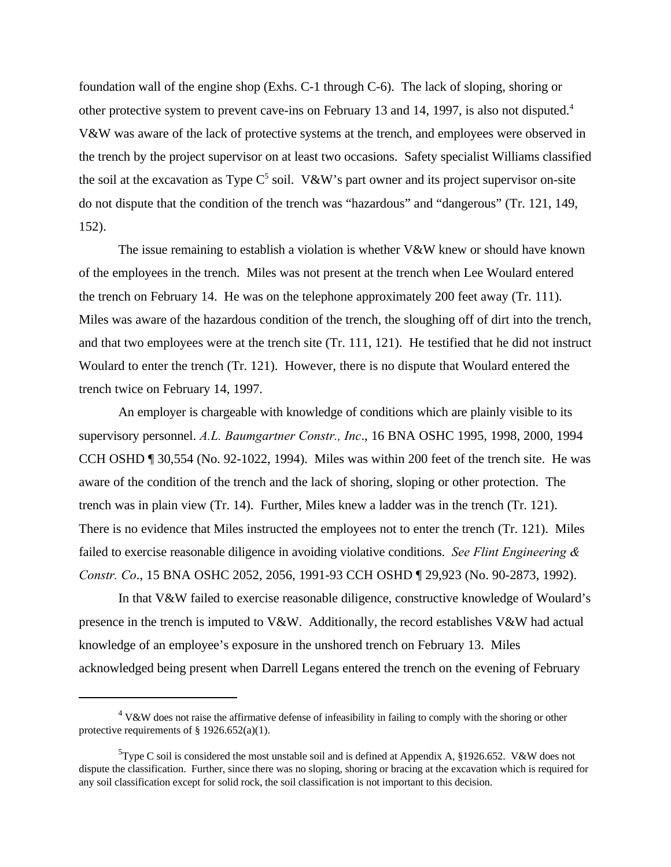foundation wall of the engine shop (Exhs. C-1 through C-6). The lack of sloping, shoring or other protective system to prevent cave-ins on February 13 and 14, 1997, is also not disputed.<sup>4</sup> V&W was aware of the lack of protective systems at the trench, and employees were observed in the trench by the project supervisor on at least two occasions. Safety specialist Williams classified the soil at the excavation as Type  $C^5$  soil. V&W's part owner and its project supervisor on-site do not dispute that the condition of the trench was "hazardous" and "dangerous" (Tr. 121, 149, 152).

The issue remaining to establish a violation is whether V&W knew or should have known of the employees in the trench. Miles was not present at the trench when Lee Woulard entered the trench on February 14. He was on the telephone approximately 200 feet away (Tr. 111). Miles was aware of the hazardous condition of the trench, the sloughing off of dirt into the trench, and that two employees were at the trench site (Tr. 111, 121). He testified that he did not instruct Woulard to enter the trench (Tr. 121). However, there is no dispute that Woulard entered the trench twice on February 14, 1997.

An employer is chargeable with knowledge of conditions which are plainly visible to its supervisory personnel. *A.L. Baumgartner Constr., Inc*., 16 BNA OSHC 1995, 1998, 2000, 1994 CCH OSHD ¶ 30,554 (No. 92-1022, 1994). Miles was within 200 feet of the trench site. He was aware of the condition of the trench and the lack of shoring, sloping or other protection. The trench was in plain view (Tr. 14). Further, Miles knew a ladder was in the trench (Tr. 121). There is no evidence that Miles instructed the employees not to enter the trench (Tr. 121). Miles failed to exercise reasonable diligence in avoiding violative conditions. *See Flint Engineering & Constr. Co*., 15 BNA OSHC 2052, 2056, 1991-93 CCH OSHD ¶ 29,923 (No. 90-2873, 1992).

In that V&W failed to exercise reasonable diligence, constructive knowledge of Woulard's presence in the trench is imputed to V&W. Additionally, the record establishes V&W had actual knowledge of an employee's exposure in the unshored trench on February 13. Miles acknowledged being present when Darrell Legans entered the trench on the evening of February

 $4$  V&W does not raise the affirmative defense of infeasibility in failing to comply with the shoring or other protective requirements of  $\S 1926.652(a)(1)$ .

<sup>&</sup>lt;sup>5</sup>Type C soil is considered the most unstable soil and is defined at Appendix A, §1926.652. V&W does not dispute the classification. Further, since there was no sloping, shoring or bracing at the excavation which is required for any soil classification except for solid rock, the soil classification is not important to this decision.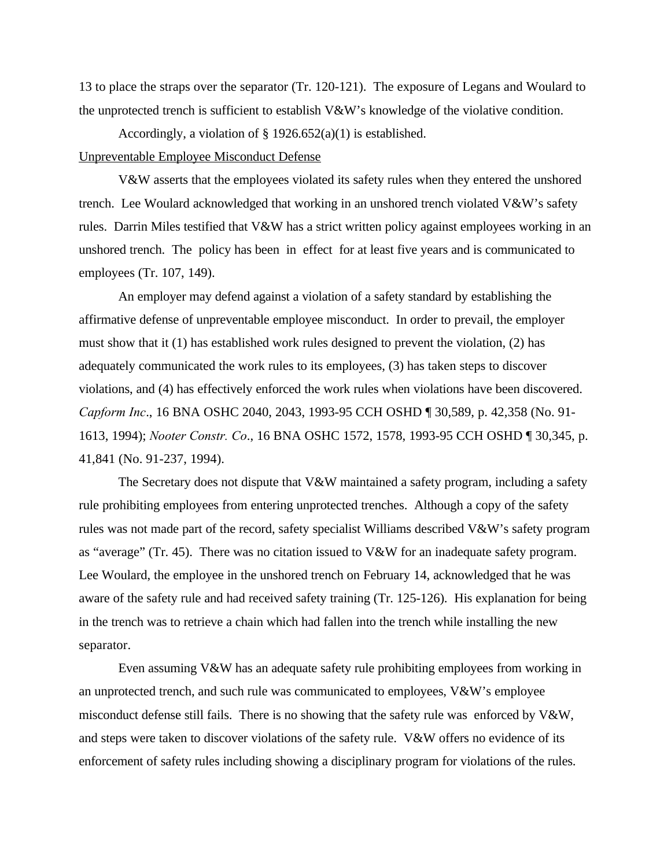13 to place the straps over the separator (Tr. 120-121). The exposure of Legans and Woulard to the unprotected trench is sufficient to establish  $V\&W$ 's knowledge of the violative condition.

Accordingly, a violation of § 1926.652(a)(1) is established.

## Unpreventable Employee Misconduct Defense

V&W asserts that the employees violated its safety rules when they entered the unshored trench. Lee Woulard acknowledged that working in an unshored trench violated V&W's safety rules. Darrin Miles testified that V&W has a strict written policy against employees working in an unshored trench. The policy has been in effect for at least five years and is communicated to employees (Tr. 107, 149).

An employer may defend against a violation of a safety standard by establishing the affirmative defense of unpreventable employee misconduct. In order to prevail, the employer must show that it (1) has established work rules designed to prevent the violation, (2) has adequately communicated the work rules to its employees, (3) has taken steps to discover violations, and (4) has effectively enforced the work rules when violations have been discovered. *Capform Inc*., 16 BNA OSHC 2040, 2043, 1993-95 CCH OSHD ¶ 30,589, p. 42,358 (No. 91- 1613, 1994); *Nooter Constr. Co*., 16 BNA OSHC 1572, 1578, 1993-95 CCH OSHD ¶ 30,345, p. 41,841 (No. 91-237, 1994).

The Secretary does not dispute that V&W maintained a safety program, including a safety rule prohibiting employees from entering unprotected trenches. Although a copy of the safety rules was not made part of the record, safety specialist Williams described V&W's safety program as "average" (Tr. 45). There was no citation issued to V&W for an inadequate safety program. Lee Woulard, the employee in the unshored trench on February 14, acknowledged that he was aware of the safety rule and had received safety training (Tr. 125-126). His explanation for being in the trench was to retrieve a chain which had fallen into the trench while installing the new separator.

Even assuming V&W has an adequate safety rule prohibiting employees from working in an unprotected trench, and such rule was communicated to employees, V&W's employee misconduct defense still fails. There is no showing that the safety rule was enforced by V&W, and steps were taken to discover violations of the safety rule. V&W offers no evidence of its enforcement of safety rules including showing a disciplinary program for violations of the rules.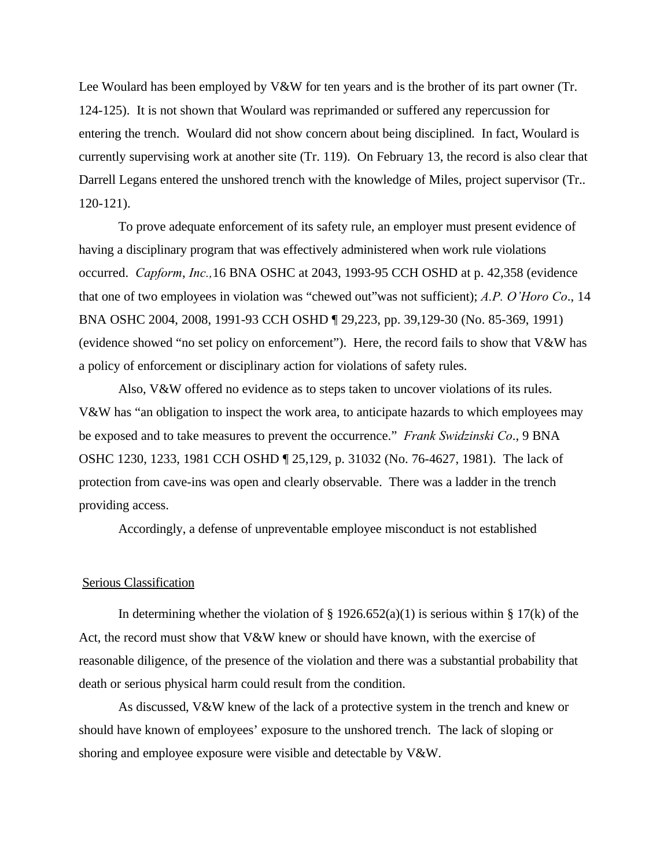Lee Woulard has been employed by V&W for ten years and is the brother of its part owner (Tr. 124-125). It is not shown that Woulard was reprimanded or suffered any repercussion for entering the trench. Woulard did not show concern about being disciplined. In fact, Woulard is currently supervising work at another site (Tr. 119). On February 13, the record is also clear that Darrell Legans entered the unshored trench with the knowledge of Miles, project supervisor (Tr.. 120-121).

To prove adequate enforcement of its safety rule, an employer must present evidence of having a disciplinary program that was effectively administered when work rule violations occurred. *Capform*, *Inc.,*16 BNA OSHC at 2043, 1993-95 CCH OSHD at p. 42,358 (evidence that one of two employees in violation was "chewed out"was not sufficient); *A.P. O'Horo Co*., 14 BNA OSHC 2004, 2008, 1991-93 CCH OSHD ¶ 29,223, pp. 39,129-30 (No. 85-369, 1991) (evidence showed "no set policy on enforcement"). Here, the record fails to show that V&W has a policy of enforcement or disciplinary action for violations of safety rules.

Also, V&W offered no evidence as to steps taken to uncover violations of its rules. V&W has "an obligation to inspect the work area, to anticipate hazards to which employees may be exposed and to take measures to prevent the occurrence." *Frank Swidzinski Co*., 9 BNA OSHC 1230, 1233, 1981 CCH OSHD ¶ 25,129, p. 31032 (No. 76-4627, 1981). The lack of protection from cave-ins was open and clearly observable. There was a ladder in the trench providing access.

Accordingly, a defense of unpreventable employee misconduct is not established

### Serious Classification

In determining whether the violation of  $\S 1926.652(a)(1)$  is serious within  $\S 17(k)$  of the Act, the record must show that  $V&W$  knew or should have known, with the exercise of reasonable diligence, of the presence of the violation and there was a substantial probability that death or serious physical harm could result from the condition.

As discussed, V&W knew of the lack of a protective system in the trench and knew or should have known of employees' exposure to the unshored trench. The lack of sloping or shoring and employee exposure were visible and detectable by V&W.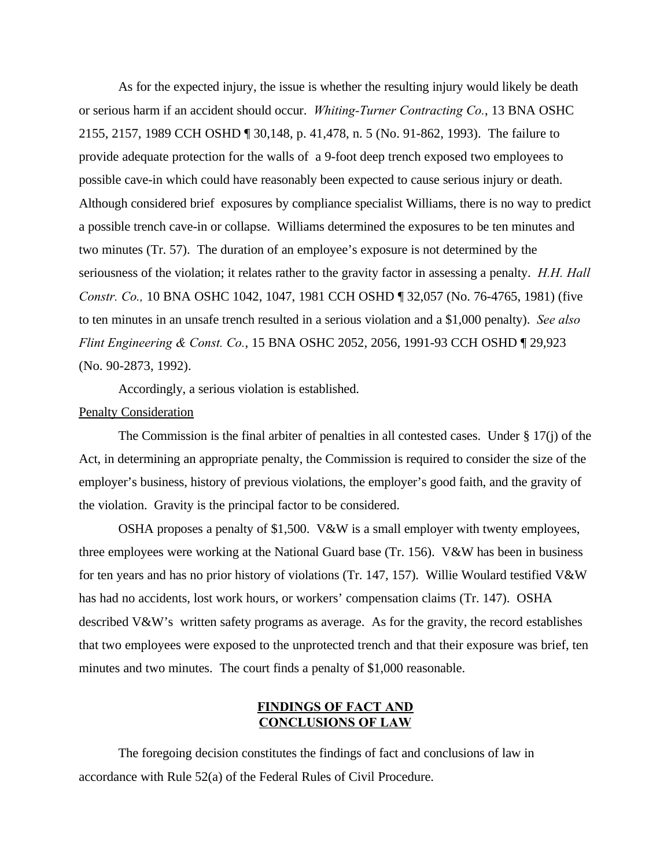As for the expected injury, the issue is whether the resulting injury would likely be death or serious harm if an accident should occur. *Whiting-Turner Contracting Co.*, 13 BNA OSHC 2155, 2157, 1989 CCH OSHD ¶ 30,148, p. 41,478, n. 5 (No. 91-862, 1993). The failure to provide adequate protection for the walls of a 9-foot deep trench exposed two employees to possible cave-in which could have reasonably been expected to cause serious injury or death. Although considered brief exposures by compliance specialist Williams, there is no way to predict a possible trench cave-in or collapse. Williams determined the exposures to be ten minutes and two minutes (Tr. 57). The duration of an employee's exposure is not determined by the seriousness of the violation; it relates rather to the gravity factor in assessing a penalty. *H.H. Hall Constr. Co.,* 10 BNA OSHC 1042, 1047, 1981 CCH OSHD ¶ 32,057 (No. 76-4765, 1981) (five to ten minutes in an unsafe trench resulted in a serious violation and a \$1,000 penalty). *See also Flint Engineering & Const. Co.*, 15 BNA OSHC 2052, 2056, 1991-93 CCH OSHD ¶ 29,923 (No. 90-2873, 1992).

Accordingly, a serious violation is established.

# Penalty Consideration

The Commission is the final arbiter of penalties in all contested cases. Under  $\S$  17(j) of the Act, in determining an appropriate penalty, the Commission is required to consider the size of the employer's business, history of previous violations, the employer's good faith, and the gravity of the violation. Gravity is the principal factor to be considered.

OSHA proposes a penalty of \$1,500. V&W is a small employer with twenty employees, three employees were working at the National Guard base (Tr. 156). V&W has been in business for ten years and has no prior history of violations (Tr. 147, 157). Willie Woulard testified V&W has had no accidents, lost work hours, or workers' compensation claims (Tr. 147). OSHA described V&W's written safety programs as average. As for the gravity, the record establishes that two employees were exposed to the unprotected trench and that their exposure was brief, ten minutes and two minutes. The court finds a penalty of \$1,000 reasonable.

# **FINDINGS OF FACT AND CONCLUSIONS OF LAW**

The foregoing decision constitutes the findings of fact and conclusions of law in accordance with Rule 52(a) of the Federal Rules of Civil Procedure.